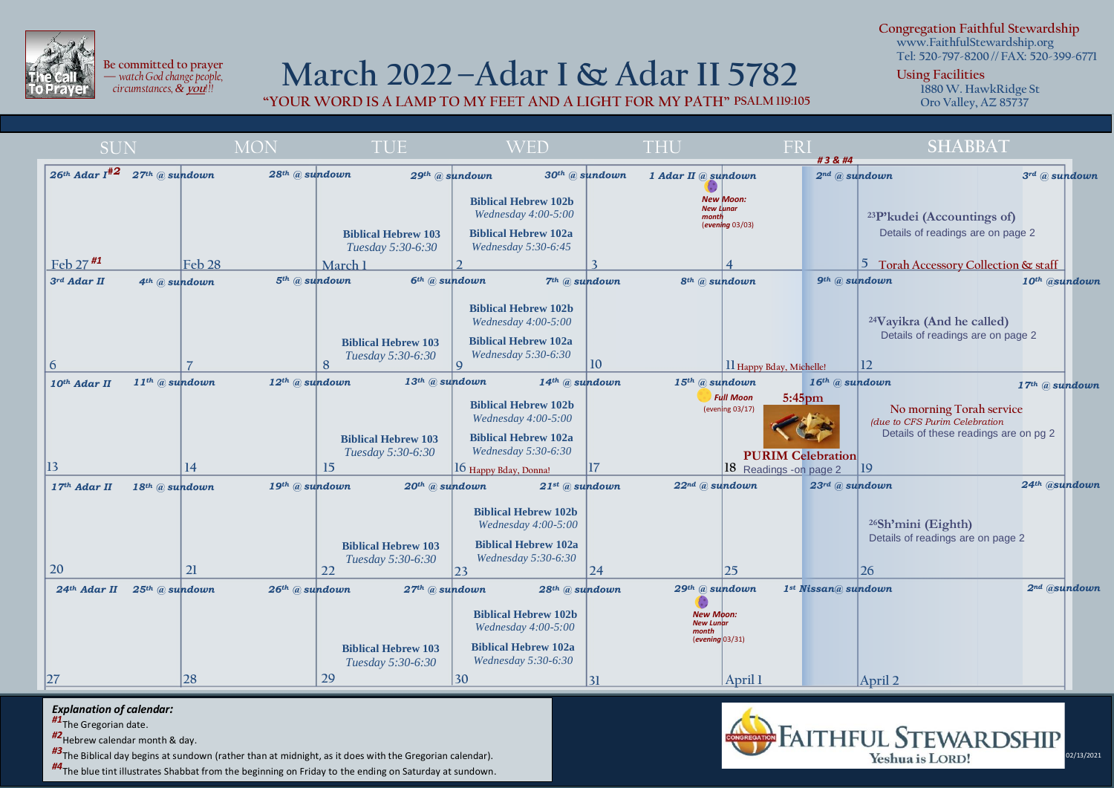

i

**Be committed to prayer —** *watch God change people, circumstances, &* **you***!!!*

## **March 2022–Adar I & Adar II 5782**

**"YOUR WORD IS A LAMP TO MY FEET AND A LIGHT FOR MY PATH" PSALM 119:105**

**Congregation Faithful Stewardship www.FaithfulStewardship.org**

**Tel: 520-797-8200 // FAX: 520-399-6771**

**Using Facilities**

**1880 W. HawkRidge St Oro Valley, AZ 85737**

| <b>SUN</b>                                                  | <b>MON</b>                     | <b>TUE</b>                                                                        | <b>WED</b>                                                                                                                               | <b>THU</b>                                                       | FRI<br>#3                                                                                     | <b>SHABBAT</b>                                                                                                         |
|-------------------------------------------------------------|--------------------------------|-----------------------------------------------------------------------------------|------------------------------------------------------------------------------------------------------------------------------------------|------------------------------------------------------------------|------------------------------------------------------------------------------------------------|------------------------------------------------------------------------------------------------------------------------|
| $26$ <sup>th</sup> Adar I <sup>#2</sup><br>$27th$ @ sundown | 28 <sup>th</sup> @ sundown     | 29th @ sundown                                                                    | $30th$ @ sundown                                                                                                                         | 1 Adar II @ sundown                                              |                                                                                                | $2^{nd}$ @ sundown<br>$3^{rd}$ @ sundown                                                                               |
|                                                             |                                | <b>Biblical Hebrew 103</b><br>Tuesday 5:30-6:30                                   | <b>Biblical Hebrew 102b</b><br>Wednesday 4:00-5:00<br><b>Biblical Hebrew 102a</b><br>Wednesday 5:30-6:45                                 | <b>New Moon:</b><br><b>New Lunar</b><br>month                    | (evening 03/03)                                                                                | <sup>23</sup> P'kudei (Accountings of)<br>Details of readings are on page 2                                            |
| Feb $27$ <sup>#1</sup><br>Feb <sub>28</sub>                 | March 1                        |                                                                                   |                                                                                                                                          |                                                                  |                                                                                                | 5 Torah Accessory Collection & staff                                                                                   |
| 3rd Adar II<br>$4th$ @ sundown                              | 5 <sup>th</sup> @ sundown      | 6 <sup>th</sup> @ sundown                                                         | $7th$ @ sundown                                                                                                                          | $8th$ (a) sundown                                                |                                                                                                | $9th$ (a) sundown<br>10th @sundown                                                                                     |
|                                                             |                                | <b>Biblical Hebrew 103</b><br>Tuesday 5:30-6:30                                   | <b>Biblical Hebrew 102b</b><br>Wednesday 4:00-5:00<br><b>Biblical Hebrew 102a</b><br>Wednesday 5:30-6:30                                 |                                                                  |                                                                                                | <sup>24</sup> Vayikra (And he called)<br>Details of readings are on page 2                                             |
| 6                                                           | 8                              | $\mathsf{Q}$                                                                      |                                                                                                                                          | 10                                                               | 11 Happy Bday, Michelle!                                                                       | 12                                                                                                                     |
| $11$ <sup>th</sup> @ sundown<br>10th Adar II                | $12$ <sup>th</sup> $@$ sundown | $13$ <sup>th</sup> $@$ sundown<br><b>Biblical Hebrew 103</b><br>Tuesday 5:30-6:30 | 14th @ sundown<br><b>Biblical Hebrew 102b</b><br>Wednesday $4:00-5:00$<br><b>Biblical Hebrew 102a</b><br>Wednesday 5:30-6:30             | $15th$ @ sundown                                                 | 16th @ sundown<br><b>Full Moon</b><br>$5:45$ pm<br>(evening 03/17)<br><b>PURIM Celebration</b> | $17th$ @ sundown<br>No morning Torah service<br>(due to CFS Purim Celebration<br>Details of these readings are on pg 2 |
| 13<br>14                                                    | 15                             |                                                                                   | 16 Happy Bday, Donnal                                                                                                                    | 17                                                               | 18 Readings - on page 2                                                                        | 19                                                                                                                     |
| $17th$ Adar II<br>18th @ sundown<br>20<br>21                | 19th @ sundown<br>22           | $20th$ @ sundown<br><b>Biblical Hebrew 103</b><br>Tuesday 5:30-6:30<br>23         | $21$ <sup>st</sup> @ sundown<br><b>Biblical Hebrew 102b</b><br>Wednesday 4:00-5:00<br><b>Biblical Hebrew 102a</b><br>Wednesday 5:30-6:30 | $22^{nd}$ @ sundown<br> 24                                       | 23rd @ sundown<br>25                                                                           | 24th @sundown<br>$26$ Sh'mini (Eighth)<br>Details of readings are on page 2<br>26                                      |
| $24$ <sup>th</sup> Adar II<br>$25th$ @ sundown              | $26$ <sup>th</sup> $@$ sundown | 27th @ sundown                                                                    | $28$ <sup>th</sup> $@$ sundown                                                                                                           | 29th @ sundown                                                   | 1st Nissan@sundown                                                                             | $2nd$ @sundown                                                                                                         |
| 27                                                          | 29                             | <b>Biblical Hebrew 103</b><br>Tuesday 5:30-6:30<br>30                             | <b>Biblical Hebrew 102b</b><br>Wednesday $4:00-5:00$<br><b>Biblical Hebrew 102a</b><br>Wednesday 5:30-6:30                               | <b>New Moon:</b><br><b>New Lunar</b><br>month<br>(evening 03/31) |                                                                                                |                                                                                                                        |
| 28                                                          |                                |                                                                                   |                                                                                                                                          | 31                                                               | April 1                                                                                        | April 2                                                                                                                |

## *Explanation of calendar:*

*#1*The Gregorian date.

*#2*Hebrew calendar month & day.

*#3*The Biblical day begins at sundown (rather than at midnight, as it does with the Gregorian calendar).

*#4*The blue tint illustrates Shabbat from the beginning on Friday to the ending on Saturday at sundown.